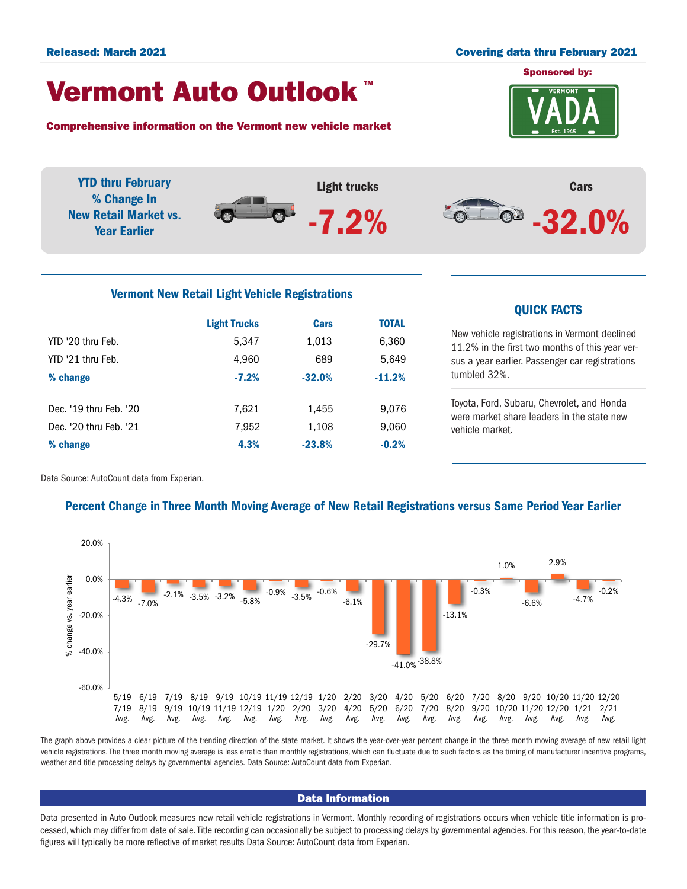#### Released: March 2021 Covering data thru February 2021

# Vermont Auto Outlook TM

Comprehensive information on the Vermont new vehicle market





| <b>Light Trucks</b> | <b>Cars</b> | <b>TOTAL</b> |
|---------------------|-------------|--------------|
| 5,347               | 1,013       | 6,360        |
| 4,960               | 689         | 5,649        |
| $-7.2%$             | $-32.0%$    | $-11.2%$     |
|                     |             |              |
| 7.621               | 1,455       | 9,076        |
| 7,952               | 1,108       | 9,060        |
| 4.3%                | $-23.8%$    | $-0.2%$      |
|                     |             |              |

## QUICK FACTS

New vehicle registrations in Vermont declined 11.2% in the first two months of this year versus a year earlier. Passenger car registrations tumbled 32%.

Toyota, Ford, Subaru, Chevrolet, and Honda were market share leaders in the state new vehicle market.

Data Source: AutoCount data from Experian.

## Percent Change in Three Month Moving Average of New Retail Registrations versus Same Period Year Earlier



The graph above provides a clear picture of the trending direction of the state market. It shows the year-over-year percent change in the three month moving average of new retail light vehicle registrations. The three month moving average is less erratic than monthly registrations, which can fluctuate due to such factors as the timing of manufacturer incentive programs, weather and title processing delays by governmental agencies. Data Source: AutoCount data from Experian.

#### Data Information

Data presented in Auto Outlook measures new retail vehicle registrations in Vermont. Monthly recording of registrations occurs when vehicle title information is processed, which may differ from date of sale. Title recording can occasionally be subject to processing delays by governmental agencies. For this reason, the year-to-date figures will typically be more reflective of market results Data Source: AutoCount data from Experian.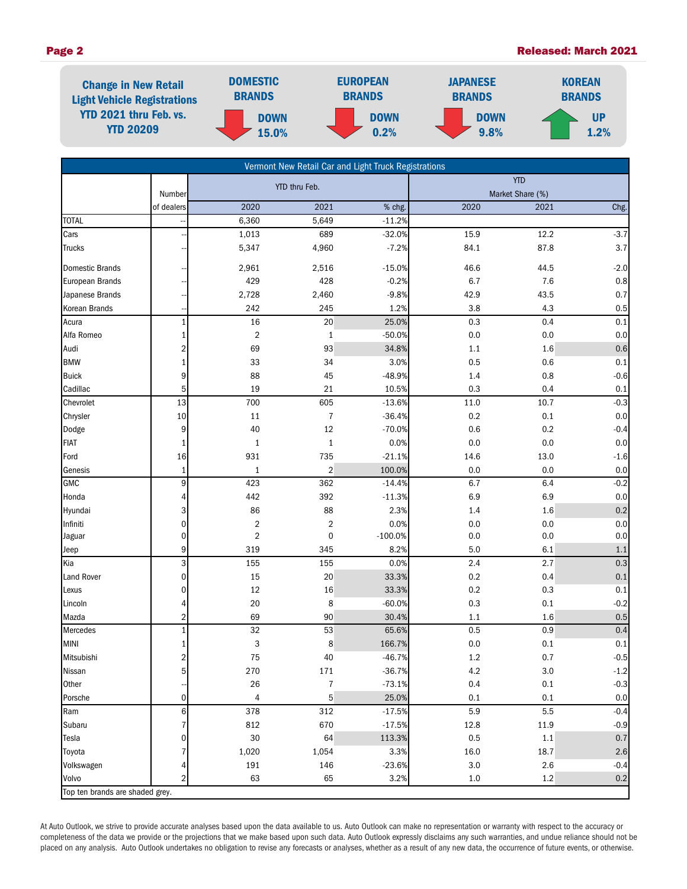

| Vermont New Retail Car and Light Truck Registrations |                           |                         |                         |           |            |                  |         |  |  |
|------------------------------------------------------|---------------------------|-------------------------|-------------------------|-----------|------------|------------------|---------|--|--|
|                                                      |                           | YTD thru Feb.           |                         |           | <b>YTD</b> |                  |         |  |  |
|                                                      | Number                    |                         |                         |           |            | Market Share (%) |         |  |  |
|                                                      | of dealers                | 2020                    | 2021                    | % chg.    | 2020       | 2021             | Chg.    |  |  |
| <b>TOTAL</b>                                         |                           | 6,360                   | 5,649                   | $-11.2%$  |            |                  |         |  |  |
| Cars                                                 |                           | 1,013                   | 689                     | $-32.0%$  | 15.9       | 12.2             | $-3.7$  |  |  |
| Trucks                                               |                           | 5,347                   | 4,960                   | $-7.2%$   | 84.1       | 87.8             | $3.7\,$ |  |  |
| <b>Domestic Brands</b>                               |                           | 2,961                   | 2,516                   | $-15.0%$  | 46.6       | 44.5             | $-2.0$  |  |  |
| <b>European Brands</b>                               |                           | 429                     | 428                     | $-0.2%$   | 6.7        | 7.6              | $0.8\,$ |  |  |
| Japanese Brands                                      |                           | 2,728                   | 2,460                   | $-9.8%$   | 42.9       | 43.5             | $0.7\,$ |  |  |
| Korean Brands                                        |                           | 242                     | 245                     | 1.2%      | 3.8        | 4.3              | 0.5     |  |  |
| Acura                                                | $\mathbf{1}$              | 16                      | 20                      | 25.0%     | 0.3        | 0.4              | 0.1     |  |  |
| Alfa Romeo                                           | 1                         | $\overline{\mathbf{c}}$ | 1                       | $-50.0%$  | 0.0        | 0.0              | $0.0\,$ |  |  |
| Audi                                                 | 2                         | 69                      | 93                      | 34.8%     | 1.1        | 1.6              | 0.6     |  |  |
| <b>BMW</b>                                           | 1                         | 33                      | 34                      | 3.0%      | 0.5        | 0.6              | 0.1     |  |  |
| <b>Buick</b>                                         | 9                         | 88                      | 45                      | $-48.9%$  | 1.4        | 0.8              | $-0.6$  |  |  |
| Cadillac                                             | 5                         | 19                      | 21                      | 10.5%     | 0.3        | 0.4              | $0.1\,$ |  |  |
| Chevrolet                                            | 13                        | 700                     | 605                     | $-13.6%$  | 11.0       | 10.7             | $-0.3$  |  |  |
| Chrysler                                             | 10                        | 11                      | $\overline{7}$          | $-36.4%$  | 0.2        | 0.1              | $0.0\,$ |  |  |
| Dodge                                                | 9                         | 40                      | 12                      | $-70.0%$  | 0.6        | 0.2              | $-0.4$  |  |  |
| <b>FIAT</b>                                          | $\mathbf{1}$              | $\mathbf{1}$            | $\mathbf{1}$            | 0.0%      | 0.0        | 0.0              | $0.0\,$ |  |  |
| Ford                                                 | 16                        | 931                     | 735                     | $-21.1%$  | 14.6       | 13.0             | $-1.6$  |  |  |
| Genesis                                              | $\mathbf{1}$              | $\mathbf{1}$            | $\sqrt{2}$              | 100.0%    | 0.0        | 0.0              | $0.0\,$ |  |  |
| <b>GMC</b>                                           | 9                         | 423                     | 362                     | $-14.4%$  | 6.7        | 6.4              | $-0.2$  |  |  |
| Honda                                                | 4                         | 442                     | 392                     | $-11.3%$  | 6.9        | 6.9              | $0.0\,$ |  |  |
| Hyundai                                              | 3                         | 86                      | 88                      | 2.3%      | 1.4        | 1.6              | 0.2     |  |  |
| Infiniti                                             | $\mathbf 0$               | $\sqrt{2}$              | $\overline{\mathbf{c}}$ | 0.0%      | 0.0        | 0.0              | $0.0\,$ |  |  |
| Jaguar                                               | 0                         | $\boldsymbol{2}$        | $\mathbf 0$             | $-100.0%$ | 0.0        | 0.0              | 0.0     |  |  |
| Jeep                                                 | 9                         | 319                     | 345                     | 8.2%      | 5.0        | 6.1              | 1.1     |  |  |
| Kia                                                  | $\ensuremath{\mathsf{3}}$ | 155                     | 155                     | 0.0%      | 2.4        | 2.7              | 0.3     |  |  |
| <b>Land Rover</b>                                    | $\mathbf 0$               | 15                      | 20                      | 33.3%     | 0.2        | 0.4              | $0.1\,$ |  |  |
| Lexus                                                | $\mathbf 0$               | 12                      | 16                      | 33.3%     | 0.2        | 0.3              | 0.1     |  |  |
| Lincoln                                              | 4                         | 20                      | 8                       | $-60.0%$  | 0.3        | 0.1              | $-0.2$  |  |  |
| Mazda                                                | $\sqrt{2}$                | 69                      | 90                      | 30.4%     | $1.1\,$    | 1.6              | 0.5     |  |  |
| Mercedes                                             | $\mathbf{1}$              | 32                      | 53                      | 65.6%     | 0.5        | 0.9              | 0.4     |  |  |
| <b>MINI</b>                                          | 1                         | 3                       | 8                       | 166.7%    | 0.0        | 0.1              | 0.1     |  |  |
| Mitsubishi                                           | $\overline{a}$            | 75                      | 40                      | $-46.7%$  | 1.2        | 0.7              | $-0.5$  |  |  |
| Nissan                                               | 5                         | 270                     | 171                     | $-36.7%$  | 4.2        | 3.0              | $-1.2$  |  |  |
| Other                                                |                           | 26                      | $\overline{7}$          | $-73.1%$  | $0.4\,$    | $0.1\,$          | $-0.3$  |  |  |
| Porsche                                              | $\mathbf 0$               | 4                       | 5                       | 25.0%     | 0.1        | $0.1\,$          | $0.0\,$ |  |  |
| Ram                                                  | $6\phantom{.}6$           | 378                     | 312                     | $-17.5%$  | $5.9\,$    | 5.5              | $-0.4$  |  |  |
| Subaru                                               | $\overline{7}$            | 812                     | 670                     | $-17.5%$  | 12.8       | 11.9             | $-0.9$  |  |  |
| Tesla                                                | 0                         | $30\,$                  | 64                      | 113.3%    | 0.5        | $1.1$            | $0.7\,$ |  |  |
| Toyota                                               |                           | 1,020                   | 1,054                   | 3.3%      | 16.0       | 18.7             | $2.6\,$ |  |  |
| Volkswagen                                           | 4                         | 191                     | 146                     | $-23.6%$  | $3.0\,$    | 2.6              | $-0.4$  |  |  |
| Volvo                                                | $\overline{2}$            | 63                      | 65                      | 3.2%      | $1.0\,$    | $1.2\,$          | $0.2\,$ |  |  |
| Top ten brands are shaded grey.                      |                           |                         |                         |           |            |                  |         |  |  |

At Auto Outlook, we strive to provide accurate analyses based upon the data available to us. Auto Outlook can make no representation or warranty with respect to the accuracy or completeness of the data we provide or the projections that we make based upon such data. Auto Outlook expressly disclaims any such warranties, and undue reliance should not be placed on any analysis. Auto Outlook undertakes no obligation to revise any forecasts or analyses, whether as a result of any new data, the occurrence of future events, or otherwise.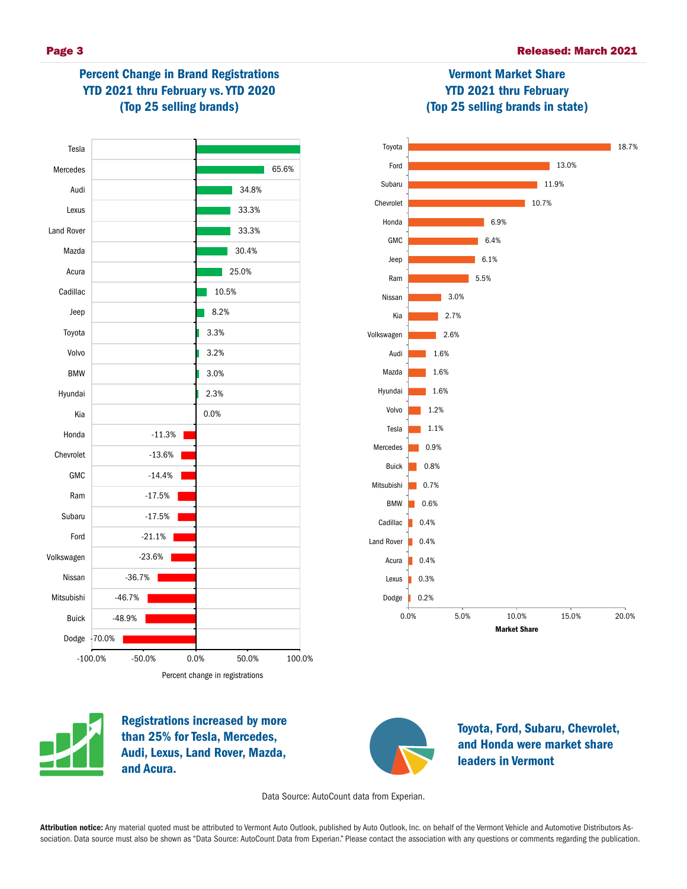# Percent Change in Brand Registrations YTD 2021 thru February vs. YTD 2020 (Top 25 selling brands)





Vermont Market Share YTD 2021 thru February



Registrations increased by more than 25% for Tesla, Mercedes, Audi, Lexus, Land Rover, Mazda, and Acura.



Toyota, Ford, Subaru, Chevrolet, and Honda were market share leaders in Vermont

Data Source: AutoCount data from Experian.

Attribution notice: Any material quoted must be attributed to Vermont Auto Outlook, published by Auto Outlook, Inc. on behalf of the Vermont Vehicle and Automotive Distributors Association. Data source must also be shown as "Data Source: AutoCount Data from Experian." Please contact the association with any questions or comments regarding the publication.